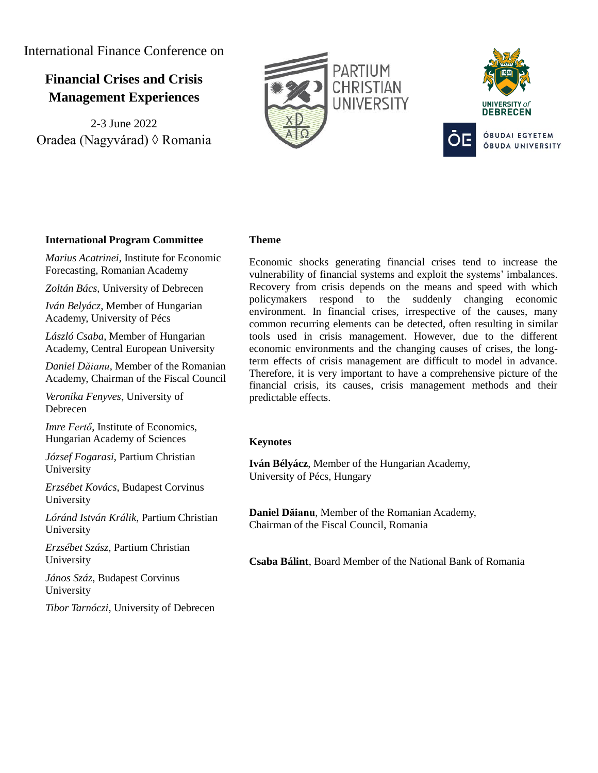International Finance Conference on

# **Financial Crises and Crisis Management Experiences**

2-3 June 2022 Oradea (Nagyvárad) ◊ Romania





# **International Program Committee**

*Marius Acatrinei*, Institute for Economic Forecasting, Romanian Academy

*Zoltán Bács*, University of Debrecen

*Iván Belyácz*, Member of Hungarian Academy, University of Pécs

*László Csaba*, Member of Hungarian Academy, Central European University

*Daniel Dăianu*, Member of the Romanian Academy, Chairman of the Fiscal Council

*Veronika Fenyves*, University of Debrecen

*Imre Fertő*, Institute of Economics, Hungarian Academy of Sciences

*József Fogarasi*, Partium Christian University

*Erzsébet Kovács*, Budapest Corvinus University

*Lóránd István Králik*, Partium Christian University

*Erzsébet Szász*, Partium Christian University

*János Száz*, Budapest Corvinus University

*Tibor Tarnóczi*, University of Debrecen

#### **Theme**

Economic shocks generating financial crises tend to increase the vulnerability of financial systems and exploit the systems' imbalances. Recovery from crisis depends on the means and speed with which policymakers respond to the suddenly changing economic environment. In financial crises, irrespective of the causes, many common recurring elements can be detected, often resulting in similar tools used in crisis management. However, due to the different economic environments and the changing causes of crises, the longterm effects of crisis management are difficult to model in advance. Therefore, it is very important to have a comprehensive picture of the financial crisis, its causes, crisis management methods and their predictable effects.

# **Keynotes**

**Iván Bélyácz**, Member of the Hungarian Academy, University of Pécs, Hungary

**Daniel Dăianu**, Member of the Romanian Academy, Chairman of the Fiscal Council, Romania

**Csaba Bálint**, Board Member of the National Bank of Romania